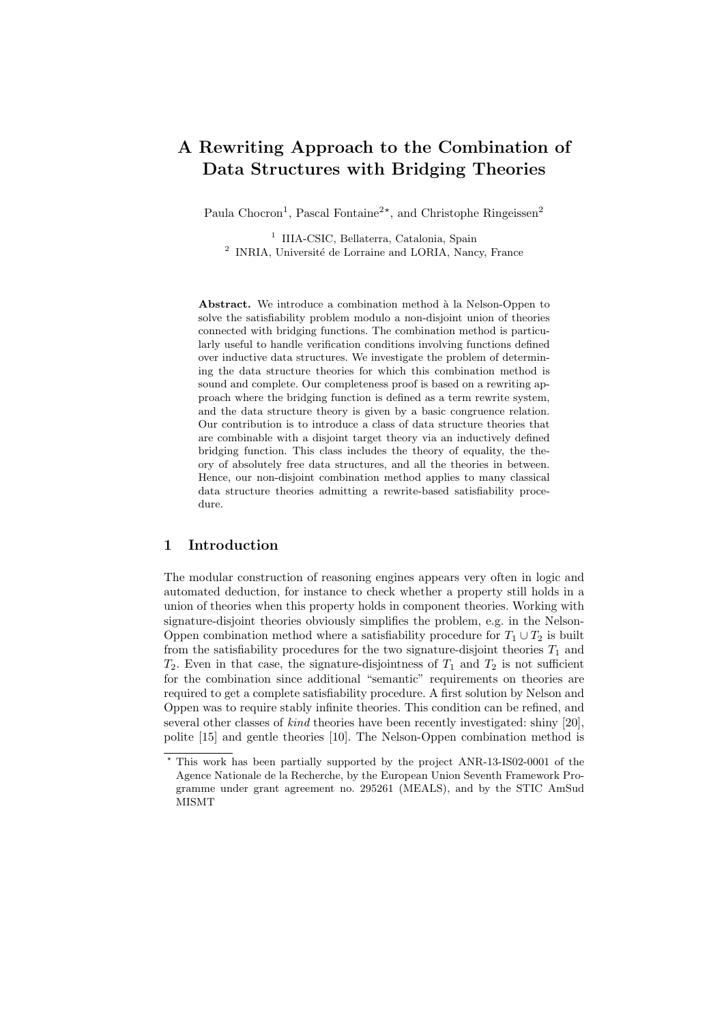# A Rewriting Approach to the Combination of Data Structures with Bridging Theories

Paula Chocron<sup>1</sup>, Pascal Fontaine<sup>2\*</sup>, and Christophe Ringeissen<sup>2</sup>

1 IIIA-CSIC, Bellaterra, Catalonia, Spain <sup>2</sup> INRIA, Université de Lorraine and LORIA, Nancy, France

Abstract. We introduce a combination method à la Nelson-Oppen to solve the satisfiability problem modulo a non-disjoint union of theories connected with bridging functions. The combination method is particularly useful to handle verification conditions involving functions defined over inductive data structures. We investigate the problem of determining the data structure theories for which this combination method is sound and complete. Our completeness proof is based on a rewriting approach where the bridging function is defined as a term rewrite system, and the data structure theory is given by a basic congruence relation. Our contribution is to introduce a class of data structure theories that are combinable with a disjoint target theory via an inductively defined bridging function. This class includes the theory of equality, the theory of absolutely free data structures, and all the theories in between. Hence, our non-disjoint combination method applies to many classical data structure theories admitting a rewrite-based satisfiability procedure.

#### 1 Introduction

The modular construction of reasoning engines appears very often in logic and automated deduction, for instance to check whether a property still holds in a union of theories when this property holds in component theories. Working with signature-disjoint theories obviously simplifies the problem, e.g. in the Nelson-Oppen combination method where a satisfiability procedure for  $T_1 \cup T_2$  is built from the satisfiability procedures for the two signature-disjoint theories  $T_1$  and  $T_2$ . Even in that case, the signature-disjointness of  $T_1$  and  $T_2$  is not sufficient for the combination since additional "semantic" requirements on theories are required to get a complete satisfiability procedure. A first solution by Nelson and Oppen was to require stably infinite theories. This condition can be refined, and several other classes of *kind* theories have been recently investigated: shiny [20], polite [15] and gentle theories [10]. The Nelson-Oppen combination method is

<sup>?</sup> This work has been partially supported by the project ANR-13-IS02-0001 of the Agence Nationale de la Recherche, by the European Union Seventh Framework Programme under grant agreement no. 295261 (MEALS), and by the STIC AmSud MISMT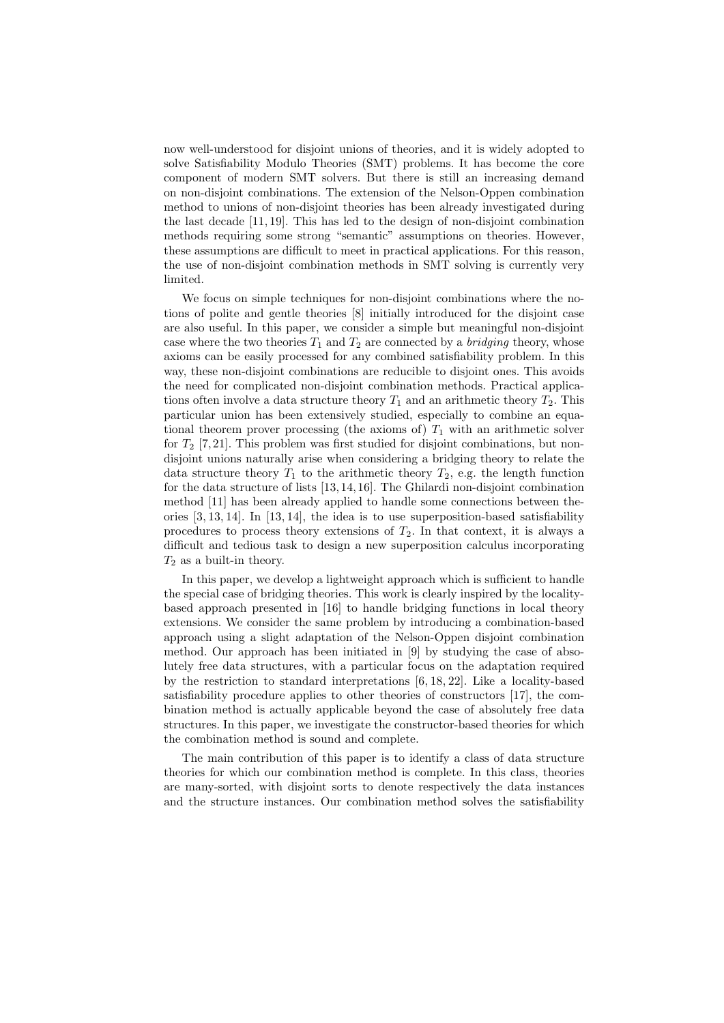now well-understood for disjoint unions of theories, and it is widely adopted to solve Satisfiability Modulo Theories (SMT) problems. It has become the core component of modern SMT solvers. But there is still an increasing demand on non-disjoint combinations. The extension of the Nelson-Oppen combination method to unions of non-disjoint theories has been already investigated during the last decade [11, 19]. This has led to the design of non-disjoint combination methods requiring some strong "semantic" assumptions on theories. However, these assumptions are difficult to meet in practical applications. For this reason, the use of non-disjoint combination methods in SMT solving is currently very limited.

We focus on simple techniques for non-disjoint combinations where the notions of polite and gentle theories [8] initially introduced for the disjoint case are also useful. In this paper, we consider a simple but meaningful non-disjoint case where the two theories  $T_1$  and  $T_2$  are connected by a *bridging* theory, whose axioms can be easily processed for any combined satisfiability problem. In this way, these non-disjoint combinations are reducible to disjoint ones. This avoids the need for complicated non-disjoint combination methods. Practical applications often involve a data structure theory  $T_1$  and an arithmetic theory  $T_2$ . This particular union has been extensively studied, especially to combine an equational theorem prover processing (the axioms of)  $T_1$  with an arithmetic solver for  $T_2$  [7, 21]. This problem was first studied for disjoint combinations, but nondisjoint unions naturally arise when considering a bridging theory to relate the data structure theory  $T_1$  to the arithmetic theory  $T_2$ , e.g. the length function for the data structure of lists [13, 14, 16]. The Ghilardi non-disjoint combination method [11] has been already applied to handle some connections between theories [3, 13, 14]. In [13, 14], the idea is to use superposition-based satisfiability procedures to process theory extensions of  $T_2$ . In that context, it is always a difficult and tedious task to design a new superposition calculus incorporating  $T_2$  as a built-in theory.

In this paper, we develop a lightweight approach which is sufficient to handle the special case of bridging theories. This work is clearly inspired by the localitybased approach presented in [16] to handle bridging functions in local theory extensions. We consider the same problem by introducing a combination-based approach using a slight adaptation of the Nelson-Oppen disjoint combination method. Our approach has been initiated in [9] by studying the case of absolutely free data structures, with a particular focus on the adaptation required by the restriction to standard interpretations [6, 18, 22]. Like a locality-based satisfiability procedure applies to other theories of constructors [17], the combination method is actually applicable beyond the case of absolutely free data structures. In this paper, we investigate the constructor-based theories for which the combination method is sound and complete.

The main contribution of this paper is to identify a class of data structure theories for which our combination method is complete. In this class, theories are many-sorted, with disjoint sorts to denote respectively the data instances and the structure instances. Our combination method solves the satisfiability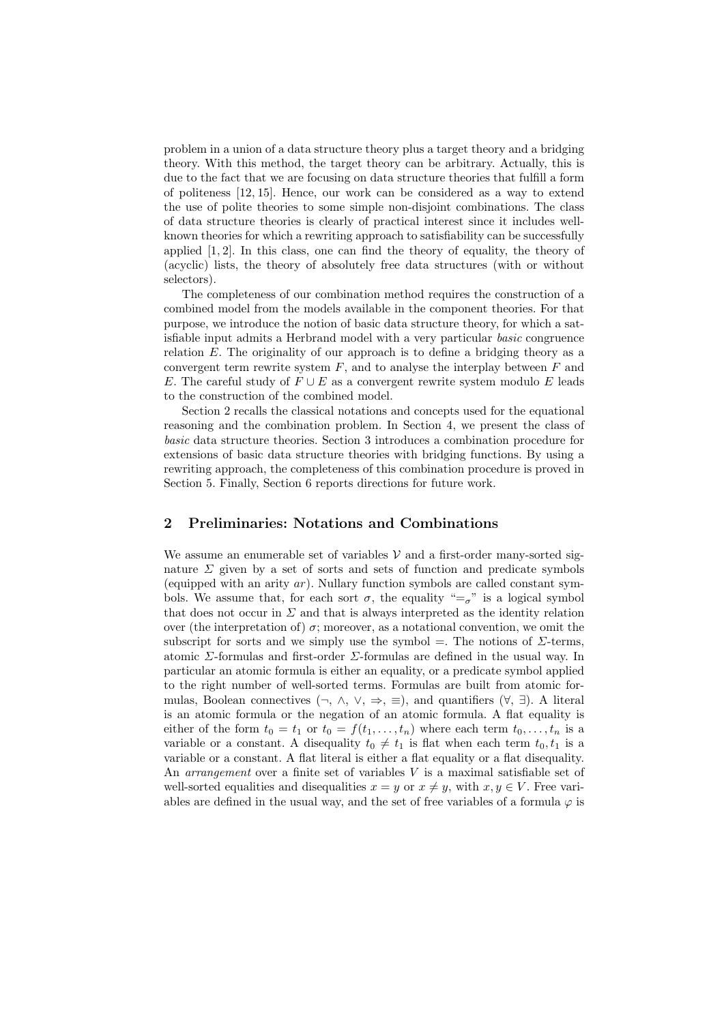problem in a union of a data structure theory plus a target theory and a bridging theory. With this method, the target theory can be arbitrary. Actually, this is due to the fact that we are focusing on data structure theories that fulfill a form of politeness [12, 15]. Hence, our work can be considered as a way to extend the use of polite theories to some simple non-disjoint combinations. The class of data structure theories is clearly of practical interest since it includes wellknown theories for which a rewriting approach to satisfiability can be successfully applied  $[1, 2]$ . In this class, one can find the theory of equality, the theory of (acyclic) lists, the theory of absolutely free data structures (with or without selectors).

The completeness of our combination method requires the construction of a combined model from the models available in the component theories. For that purpose, we introduce the notion of basic data structure theory, for which a satisfiable input admits a Herbrand model with a very particular basic congruence relation E. The originality of our approach is to define a bridging theory as a convergent term rewrite system  $F$ , and to analyse the interplay between  $F$  and E. The careful study of  $F \cup E$  as a convergent rewrite system modulo E leads to the construction of the combined model.

Section 2 recalls the classical notations and concepts used for the equational reasoning and the combination problem. In Section 4, we present the class of basic data structure theories. Section 3 introduces a combination procedure for extensions of basic data structure theories with bridging functions. By using a rewriting approach, the completeness of this combination procedure is proved in Section 5. Finally, Section 6 reports directions for future work.

## 2 Preliminaries: Notations and Combinations

We assume an enumerable set of variables  $V$  and a first-order many-sorted signature  $\Sigma$  given by a set of sorts and sets of function and predicate symbols (equipped with an arity  $ar$ ). Nullary function symbols are called constant symbols. We assume that, for each sort  $\sigma$ , the equality "= $\sigma$ " is a logical symbol that does not occur in  $\Sigma$  and that is always interpreted as the identity relation over (the interpretation of)  $\sigma$ ; moreover, as a notational convention, we omit the subscript for sorts and we simply use the symbol =. The notions of  $\Sigma$ -terms, atomic Σ-formulas and first-order Σ-formulas are defined in the usual way. In particular an atomic formula is either an equality, or a predicate symbol applied to the right number of well-sorted terms. Formulas are built from atomic formulas, Boolean connectives  $(\neg, \wedge, \vee, \Rightarrow, \equiv)$ , and quantifiers  $(\forall, \exists)$ . A literal is an atomic formula or the negation of an atomic formula. A flat equality is either of the form  $t_0 = t_1$  or  $t_0 = f(t_1, \ldots, t_n)$  where each term  $t_0, \ldots, t_n$  is a variable or a constant. A disequality  $t_0 \neq t_1$  is flat when each term  $t_0, t_1$  is a variable or a constant. A flat literal is either a flat equality or a flat disequality. An *arrangement* over a finite set of variables  $V$  is a maximal satisfiable set of well-sorted equalities and disequalities  $x = y$  or  $x \neq y$ , with  $x, y \in V$ . Free variables are defined in the usual way, and the set of free variables of a formula  $\varphi$  is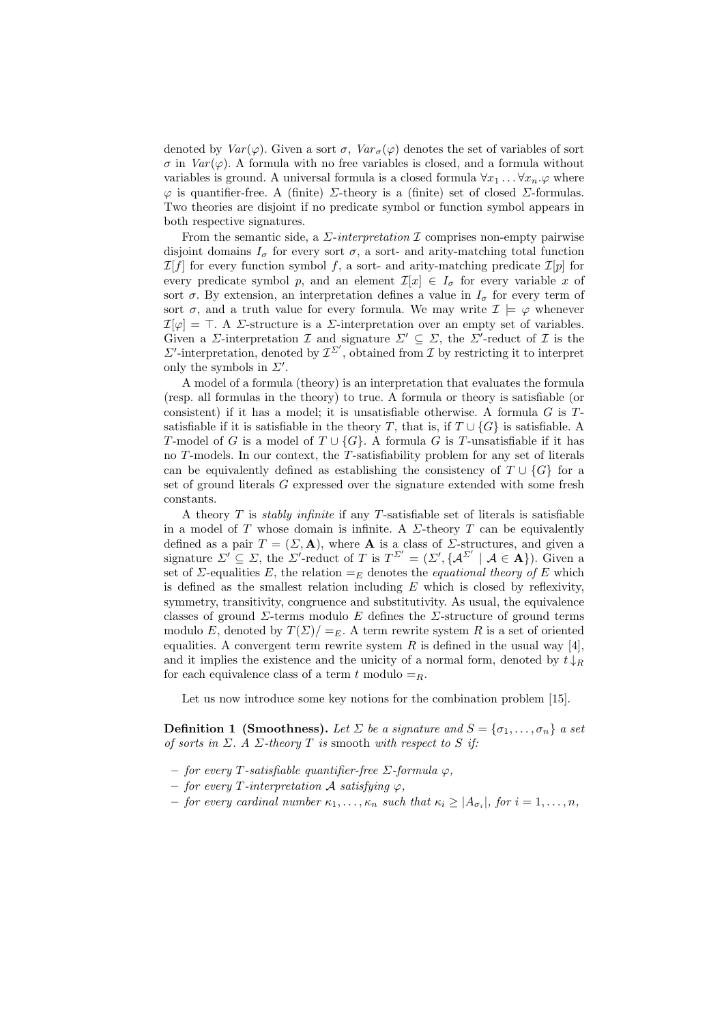denoted by  $Var(\varphi)$ . Given a sort  $\sigma$ ,  $Var_{\sigma}(\varphi)$  denotes the set of variables of sort  $\sigma$  in  $Var(\varphi)$ . A formula with no free variables is closed, and a formula without variables is ground. A universal formula is a closed formula  $\forall x_1 \dots \forall x_n \varphi$  where  $\varphi$  is quantifier-free. A (finite)  $\Sigma$ -theory is a (finite) set of closed  $\Sigma$ -formulas. Two theories are disjoint if no predicate symbol or function symbol appears in both respective signatures.

From the semantic side, a  $\Sigma\text{-}interpretation \mathcal{I}$  comprises non-empty pairwise disjoint domains  $I_{\sigma}$  for every sort  $\sigma$ , a sort- and arity-matching total function  $\mathcal{I}[f]$  for every function symbol f, a sort- and arity-matching predicate  $\mathcal{I}[p]$  for every predicate symbol p, and an element  $\mathcal{I}[x] \in I_{\sigma}$  for every variable x of sort  $\sigma$ . By extension, an interpretation defines a value in  $I_{\sigma}$  for every term of sort  $\sigma$ , and a truth value for every formula. We may write  $\mathcal{I} \models \varphi$  whenever  $\mathcal{I}[\varphi] = \top$ . A *Σ*-structure is a *Σ*-interpretation over an empty set of variables. Given a  $\Sigma$ -interpretation  $\mathcal I$  and signature  $\Sigma' \subseteq \Sigma$ , the  $\Sigma'$ -reduct of  $\mathcal I$  is the  $\Sigma'$ -interpretation, denoted by  $\mathcal{I}^{\Sigma'}$ , obtained from  $\mathcal I$  by restricting it to interpret only the symbols in  $\Sigma'$ .

A model of a formula (theory) is an interpretation that evaluates the formula (resp. all formulas in the theory) to true. A formula or theory is satisfiable (or consistent) if it has a model; it is unsatisfiable otherwise. A formula  $G$  is  $T$ satisfiable if it is satisfiable in the theory T, that is, if  $T \cup \{G\}$  is satisfiable. A T-model of G is a model of  $T \cup \{G\}$ . A formula G is T-unsatisfiable if it has no T-models. In our context, the T-satisfiability problem for any set of literals can be equivalently defined as establishing the consistency of  $T \cup \{G\}$  for a set of ground literals G expressed over the signature extended with some fresh constants.

A theory  $T$  is *stably infinite* if any  $T$ -satisfiable set of literals is satisfiable in a model of T whose domain is infinite. A  $\Sigma$ -theory T can be equivalently defined as a pair  $T = (\Sigma, \mathbf{A})$ , where **A** is a class of  $\Sigma$ -structures, and given a signature  $\Sigma' \subseteq \Sigma$ , the  $\Sigma'$ -reduct of T is  $T^{\Sigma'} = (\Sigma', {\{\mathcal{A}}^{\Sigma'} \mid \mathcal{A} \in \mathbf{A}\})$ . Given a set of  $\Sigma$ -equalities E, the relation  $=_E$  denotes the *equational theory of* E which is defined as the smallest relation including  $E$  which is closed by reflexivity, symmetry, transitivity, congruence and substitutivity. As usual, the equivalence classes of ground  $\Sigma$ -terms modulo E defines the  $\Sigma$ -structure of ground terms modulo E, denoted by  $T(\Sigma)/=E$ . A term rewrite system R is a set of oriented equalities. A convergent term rewrite system  $R$  is defined in the usual way [4], and it implies the existence and the unicity of a normal form, denoted by  $t \downarrow_R$ for each equivalence class of a term t modulo  $=_R$ .

Let us now introduce some key notions for the combination problem [15].

**Definition 1 (Smoothness).** Let  $\Sigma$  be a signature and  $S = {\sigma_1, \ldots, \sigma_n}$  a set of sorts in  $\Sigma$ . A  $\Sigma$ -theory T is smooth with respect to S if:

- $-$  for every T-satisfiable quantifier-free  $\Sigma$ -formula  $\varphi$ ,
- $for every T-interpretation A satisfying  $\varphi$ ,$
- $-$  for every cardinal number  $\kappa_1, \ldots, \kappa_n$  such that  $\kappa_i \geq |A_{\sigma_i}|$ , for  $i = 1, \ldots, n$ ,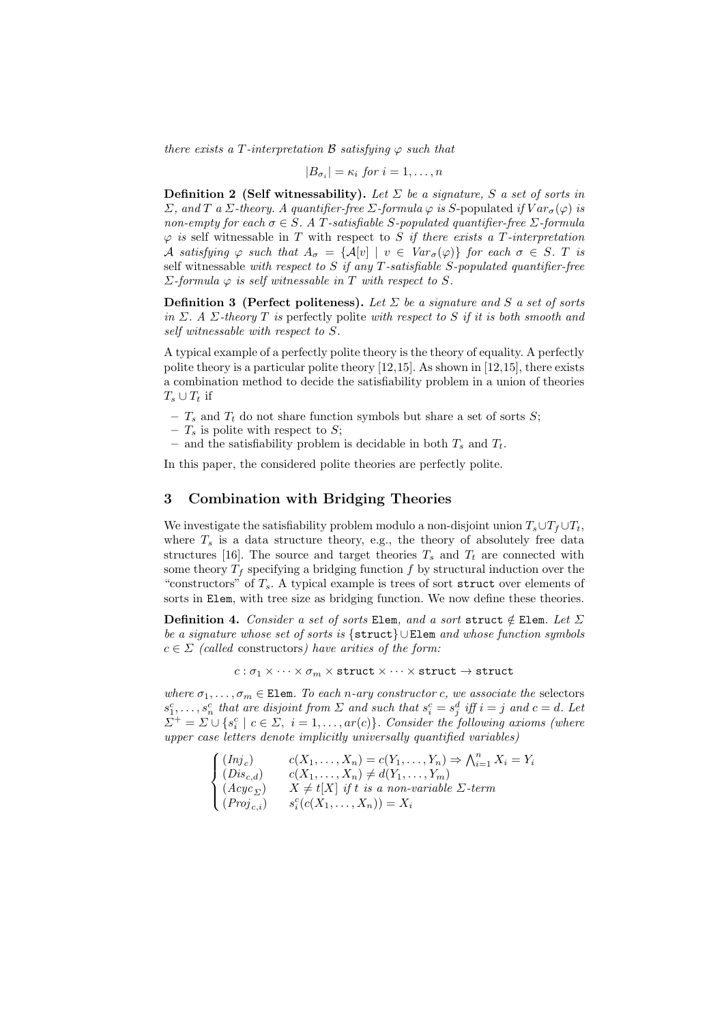there exists a T-interpretation B satisfying  $\varphi$  such that

$$
|B_{\sigma_i}| = \kappa_i \text{ for } i = 1, \dots, n
$$

**Definition 2 (Self witnessability).** Let  $\Sigma$  be a signature, S a set of sorts in Σ, and T a Σ-theory. A quantifier-free Σ-formula  $\varphi$  is S-populated if  $Var_{\sigma}(\varphi)$  is non-empty for each  $\sigma \in S$ . A T-satisfiable S-populated quantifier-free  $\Sigma$ -formula  $\varphi$  is self witnessable in T with respect to S if there exists a T-interpretation A satisfying  $\varphi$  such that  $A_{\sigma} = \{A[v] \mid v \in Var_{\sigma}(\varphi)\}$  for each  $\sigma \in S$ . T is self witnessable with respect to  $S$  if any  $T$ -satisfiable  $S$ -populated quantifier-free  $\Sigma$ -formula  $\varphi$  is self witnessable in T with respect to S.

**Definition 3** (Perfect politeness). Let  $\Sigma$  be a signature and S a set of sorts in Σ. A Σ-theory T is perfectly polite with respect to S if it is both smooth and self witnessable with respect to S.

A typical example of a perfectly polite theory is the theory of equality. A perfectly polite theory is a particular polite theory [12,15]. As shown in [12,15], there exists a combination method to decide the satisfiability problem in a union of theories  $T_s \cup T_t$  if

–  $T_s$  and  $T_t$  do not share function symbols but share a set of sorts S;

–  $T_s$  is polite with respect to S;

– and the satisfiability problem is decidable in both  $T_s$  and  $T_t$ .

In this paper, the considered polite theories are perfectly polite.

## 3 Combination with Bridging Theories

We investigate the satisfiability problem modulo a non-disjoint union  $T_s \cup T_f \cup T_t$ , where  $T<sub>s</sub>$  is a data structure theory, e.g., the theory of absolutely free data structures [16]. The source and target theories  $T_s$  and  $T_t$  are connected with some theory  $T_f$  specifying a bridging function f by structural induction over the "constructors" of  $T_s$ . A typical example is trees of sort struct over elements of sorts in Elem, with tree size as bridging function. We now define these theories.

Definition 4. Consider a set of sorts Elem, and a sort struct  $\notin$  Elem. Let  $\Sigma$ be a signature whose set of sorts is {struct} ∪Elem and whose function symbols  $c \in \Sigma$  (called constructors) have arities of the form:

$$
c:\sigma_1\times\cdots\times\sigma_m\times\texttt{struct}\times\cdots\times\texttt{struct}\to\texttt{struct}
$$

where  $\sigma_1, \ldots, \sigma_m \in \text{Element}$ . To each n-ary constructor c, we associate the selectors  $s_1^c, \ldots, s_n^c$  that are disjoint from  $\Sigma$  and such that  $s_i^c = s_j^d$  iff  $i = j$  and  $c = d$ . Let  $\Sigma^+ = \Sigma \cup \{s_i^c \mid c \in \Sigma, i = 1, \ldots, ar(c)\}.$  Consider the following axioms (where upper case letters denote implicitly universally quantified variables)

$$
\begin{cases}\n(Inj_c) & c(X_1, \ldots, X_n) = c(Y_1, \ldots, Y_n) \Rightarrow \bigwedge_{i=1}^n X_i = Y_i \\
(Dis_{c,d}) & c(X_1, \ldots, X_n) \neq d(Y_1, \ldots, Y_m) \\
(Acyc_{\Sigma}) & X \neq t[X] \text{ if } t \text{ is a non-variable } \Sigma \text{-term} \\
(Proj_{c,i}) & s_i^c(c(X_1, \ldots, X_n)) = X_i\n\end{cases}
$$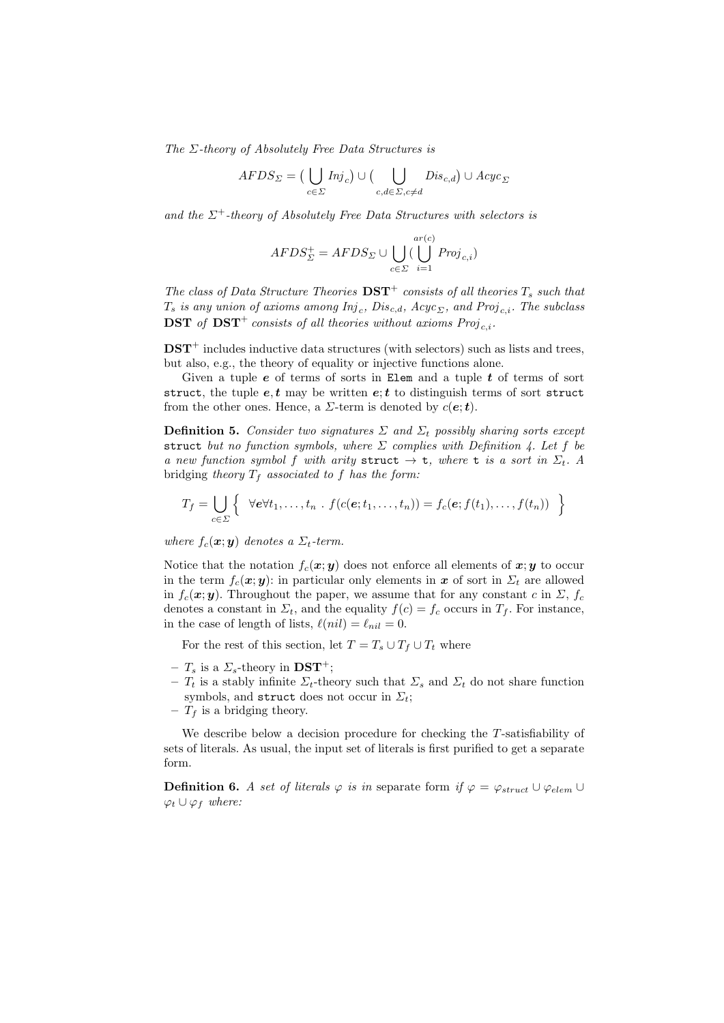The  $\Sigma$ -theory of Absolutely Free Data Structures is

$$
AFDS_{\Sigma} = \big(\bigcup_{c \in \Sigma} Inj_c\big) \cup \big(\bigcup_{c,d \in \Sigma, c \neq d} Dis_{c,d}\big) \cup Acyc_{\Sigma}
$$

and the  $\Sigma^+$ -theory of Absolutely Free Data Structures with selectors is

$$
AFDS_{\Sigma}^{+} = AFDS_{\Sigma} \cup \bigcup_{c \in \Sigma} (\bigcup_{i=1}^{ar(c)} Proj_{c,i})
$$

The class of Data Structure Theories  $\mathbf{DST}^+$  consists of all theories  $T_s$  such that  $T_s$  is any union of axioms among  $Inj_c, \, Dis_{c,d}, \, A cyc_{\varSigma},$  and  $Proj_{c,i}.$  The subclass **DST** of DST<sup>+</sup> consists of all theories without axioms  $Proj_{ci}$ .

 $\text{DST}^+$  includes inductive data structures (with selectors) such as lists and trees, but also, e.g., the theory of equality or injective functions alone.

Given a tuple  $e$  of terms of sorts in Elem and a tuple  $t$  of terms of sort struct, the tuple  $e, t$  may be written  $e; t$  to distinguish terms of sort struct from the other ones. Hence, a  $\Sigma$ -term is denoted by  $c(\mathbf{e}; \mathbf{t})$ .

**Definition 5.** Consider two signatures  $\Sigma$  and  $\Sigma_t$  possibly sharing sorts except struct but no function symbols, where  $\Sigma$  complies with Definition 4. Let f be a new function symbol f with arity struct  $\rightarrow$  t, where t is a sort in  $\Sigma_t$ . A bridging theory  $T_f$  associated to f has the form:

$$
T_f = \bigcup_{c \in \Sigma} \left\{ \forall e \forall t_1, \ldots, t_n \; . \; f(c(e; t_1, \ldots, t_n)) = f_c(e; f(t_1), \ldots, f(t_n)) \right\}
$$

where  $f_c(\mathbf{x}; \mathbf{y})$  denotes a  $\Sigma_t$ -term.

Notice that the notation  $f_c(\mathbf{x}; y)$  does not enforce all elements of  $\mathbf{x}; \mathbf{y}$  to occur in the term  $f_c(\mathbf{x}; \mathbf{y})$ : in particular only elements in x of sort in  $\Sigma_t$  are allowed in  $f_c(\mathbf{x}; \mathbf{y})$ . Throughout the paper, we assume that for any constant c in  $\Sigma$ ,  $f_c$ denotes a constant in  $\Sigma_t$ , and the equality  $f(c) = f_c$  occurs in  $T_f$ . For instance, in the case of length of lists,  $\ell(nil) = \ell_{nil} = 0$ .

For the rest of this section, let  $T = T_s \cup T_f \cup T_t$  where

- $T_s$  is a  $\Sigma_s$ -theory in  $\text{DST}^+$ ;
- $T_t$  is a stably infinite  $\Sigma_t$ -theory such that  $\Sigma_s$  and  $\Sigma_t$  do not share function symbols, and struct does not occur in  $\Sigma_t$ ;
- $T_f$  is a bridging theory.

We describe below a decision procedure for checking the T-satisfiability of sets of literals. As usual, the input set of literals is first purified to get a separate form.

**Definition 6.** A set of literals  $\varphi$  is in separate form if  $\varphi = \varphi_{struct} \cup \varphi_{elem} \cup$  $\varphi_t \cup \varphi_f$  where: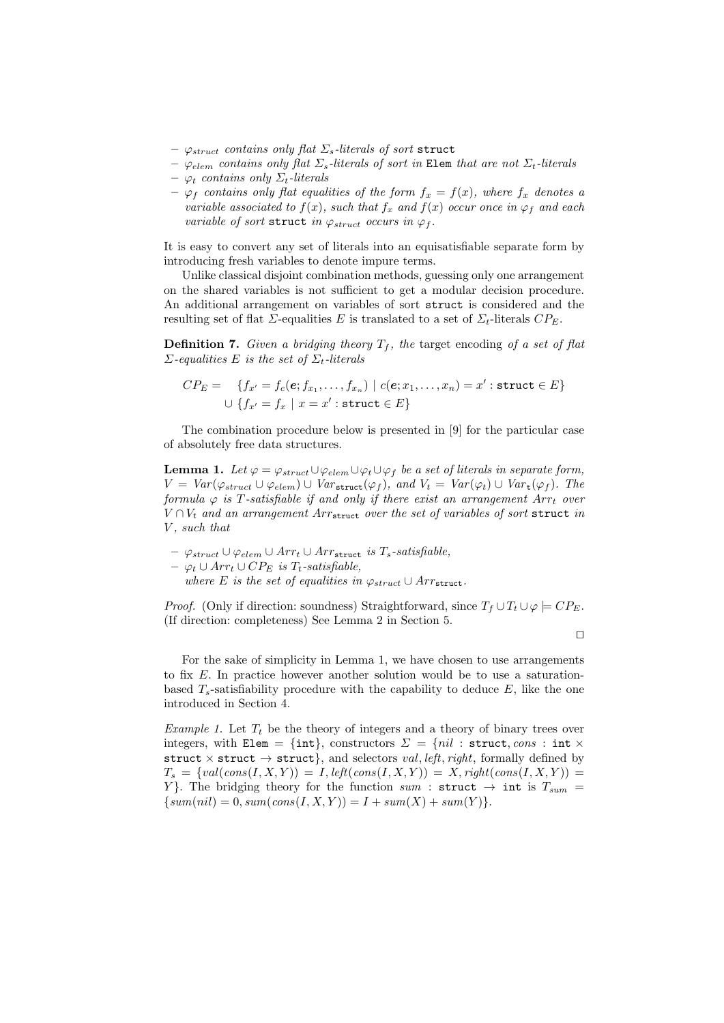- $\varphi_{struct}$  contains only flat  $\Sigma_s$ -literals of sort struct
- $\varphi_{elem}$  contains only flat  $\Sigma_s$ -literals of sort in Elem that are not  $\Sigma_t$ -literals
- $-$  φ<sub>t</sub> contains only  $\Sigma_t$ -literals
- $-\varphi_f$  contains only flat equalities of the form  $f_x = f(x)$ , where  $f_x$  denotes a variable associated to  $f(x)$ , such that  $f_x$  and  $f(x)$  occur once in  $\varphi_f$  and each variable of sort struct in  $\varphi_{struct}$  occurs in  $\varphi_f$ .

It is easy to convert any set of literals into an equisatisfiable separate form by introducing fresh variables to denote impure terms.

Unlike classical disjoint combination methods, guessing only one arrangement on the shared variables is not sufficient to get a modular decision procedure. An additional arrangement on variables of sort struct is considered and the resulting set of flat  $\Sigma$ -equalities E is translated to a set of  $\Sigma_t$ -literals  $CP_E$ .

**Definition 7.** Given a bridging theory  $T_f$ , the target encoding of a set of flat  $\Sigma$ -equalities E is the set of  $\Sigma_t$ -literals

$$
CP_E = \{f_{x'} = f_c(e; f_{x_1}, \dots, f_{x_n}) \mid c(e; x_1, \dots, x_n) = x' : \text{struct} \in E\}
$$
  

$$
\cup \{f_{x'} = f_x \mid x = x' : \text{struct} \in E\}
$$

The combination procedure below is presented in [9] for the particular case of absolutely free data structures.

**Lemma 1.** Let  $\varphi = \varphi_{struct} \cup \varphi_{elem} \cup \varphi_t \cup \varphi_f$  be a set of literals in separate form,  $V = Var(\varphi_{struct} \cup \varphi_{elem}) \cup Var_{struct}(\varphi_f)$ , and  $V_t = Var(\varphi_t) \cup Var_t(\varphi_f)$ . The formula  $\varphi$  is T-satisfiable if and only if there exist an arrangement  $Arr<sub>t</sub>$  over  $V \cap V_t$  and an arrangement  $Arr_{\textbf{struct}}$  over the set of variables of sort struct in V , such that

- $\varphi_{struct} ∪ \varphi_{elem} ∪ Arr_t ∪ Arr_{struct}$  is  $T_s$ -satisfiable,
- $\varphi_t$  ∪ Arr<sub>t</sub> ∪ CP<sub>E</sub> is T<sub>t</sub>-satisfiable,
	- where E is the set of equalities in  $\varphi_{struct} \cup Arr_{struct}$ .

*Proof.* (Only if direction: soundness) Straightforward, since  $T_f \cup T_t \cup \varphi \models CP_F$ . (If direction: completeness) See Lemma 2 in Section 5.

 $\Box$ 

For the sake of simplicity in Lemma 1, we have chosen to use arrangements to fix E. In practice however another solution would be to use a saturationbased  $T_s$ -satisfiability procedure with the capability to deduce  $E$ , like the one introduced in Section 4.

Example 1. Let  $T_t$  be the theory of integers and a theory of binary trees over integers, with Elem = {int}, constructors  $\Sigma = \{nil :$  struct, cons : int  $\times$ struct  $\times$  struct  $\rightarrow$  struct}, and selectors *val*, *left*, *right*, formally defined by  $T_s = \{val(cons(I, X, Y)) = I, left(cons(I, X, Y)) = X, right(cons(I, X, Y)) =$ Y. The bridging theory for the function sum : struct  $\rightarrow$  int is  $T_{sum}$  =  $\{sum(nil) = 0, sum(cons(I, X, Y)) = I + sum(X) + sum(Y)\}.$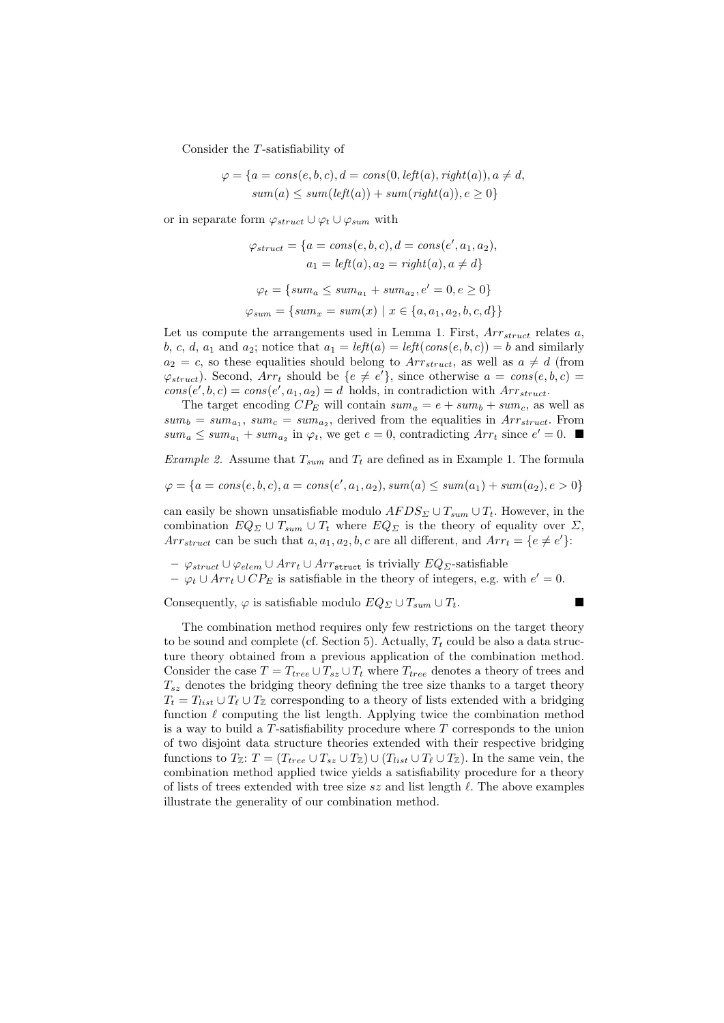Consider the T-satisfiability of

$$
\varphi = \{a = cons(e, b, c), d = cons(0, left(a), right(a)), a \neq d, \newline sum(a) \leq sum(left(a)) + sum(right(a)), e \geq 0\}
$$

or in separate form  $\varphi_{struct} \cup \varphi_t \cup \varphi_{sum}$  with

$$
\varphi_{struct} = \{a = cons(e, b, c), d = cons(e', a_1, a_2),
$$
  

$$
a_1 = left(a), a_2 = right(a), a \neq d\}
$$
  

$$
\varphi_t = \{sum_a \leq sum_{a_1} + sum_{a_2}, e' = 0, e \geq 0\}
$$
  

$$
\varphi_{sum} = \{sum_x = sum(x) | x \in \{a, a_1, a_2, b, c, d\}\}
$$

Let us compute the arrangements used in Lemma 1. First,  $Arr_{struct}$  relates  $a$ , b, c, d, a<sub>1</sub> and a<sub>2</sub>; notice that  $a_1 = \text{left}(a) = \text{left}(cons(e, b, c)) = b$  and similarly  $a_2 = c$ , so these equalities should belong to  $Arr_{struct}$ , as well as  $a \neq d$  (from  $\varphi_{struct}$ ). Second,  $Arr_t$  should be  $\{e \neq e'\}$ , since otherwise  $a = cons(e, b, c)$  $cons(e', b, c) = cons(e', a_1, a_2) = d$  holds, in contradiction with  $Arr_{struct}$ .

The target encoding  $CP_E$  will contain  $sum_a = e + sum_b + sum_c$ , as well as  $sum_b = sum_{a_1}, sum_c = sum_{a_2},$  derived from the equalities in  $Arr_{struct}$ . From  $sum_a \leq sum_{a_1} + sum_{a_2}$  in  $\varphi_t$ , we get  $e = 0$ , contradicting  $Arr_t$  since  $e' = 0$ .

*Example 2.* Assume that  $T_{sum}$  and  $T_t$  are defined as in Example 1. The formula

$$
\varphi = \{a = cons(e, b, c), a = cons(e', a_1, a_2), sum(a) \leq sum(a_1) + sum(a_2), e > 0\}
$$

can easily be shown unsatisfiable modulo  $AFDS_\Sigma \cup T_{sum} \cup T_t$ . However, in the combination  $EQ_\Sigma \cup T_{sum} \cup T_t$  where  $EQ_\Sigma$  is the theory of equality over  $\Sigma$ , Arr<sub>struct</sub> can be such that  $a, a_1, a_2, b, c$  are all different, and  $Arr_t = \{e \neq e'\}.$ 

- $\varphi_{struct} ∪ \varphi_{elem} ∪ Arr_t ∪ Arr_{struct}$  is trivially  $EQ_{\Sigma}$ -satisfiable
- $\varphi_t \cup Arr_t \cup CP_E$  is satisfiable in the theory of integers, e.g. with  $e' = 0$ .

Consequently,  $\varphi$  is satisfiable modulo  $EQ_\Sigma \cup T_{sum} \cup T_t$ .

$$
\blacksquare
$$

The combination method requires only few restrictions on the target theory to be sound and complete (cf. Section 5). Actually,  $T_t$  could be also a data structure theory obtained from a previous application of the combination method. Consider the case  $T = T_{tree} \cup T_{sz} \cup T_t$  where  $T_{tree}$  denotes a theory of trees and  $T_{sz}$  denotes the bridging theory defining the tree size thanks to a target theory  $T_t = T_{list} \cup T_{\ell} \cup T_{\mathbb{Z}}$  corresponding to a theory of lists extended with a bridging function  $\ell$  computing the list length. Applying twice the combination method is a way to build a  $T$ -satisfiability procedure where  $T$  corresponds to the union of two disjoint data structure theories extended with their respective bridging functions to  $T_{\mathbb{Z}}$ :  $T = (T_{tree} \cup T_{sz} \cup T_{\mathbb{Z}}) \cup (T_{list} \cup T_{\ell} \cup T_{\mathbb{Z}})$ . In the same vein, the combination method applied twice yields a satisfiability procedure for a theory of lists of trees extended with tree size  $sz$  and list length  $\ell$ . The above examples illustrate the generality of our combination method.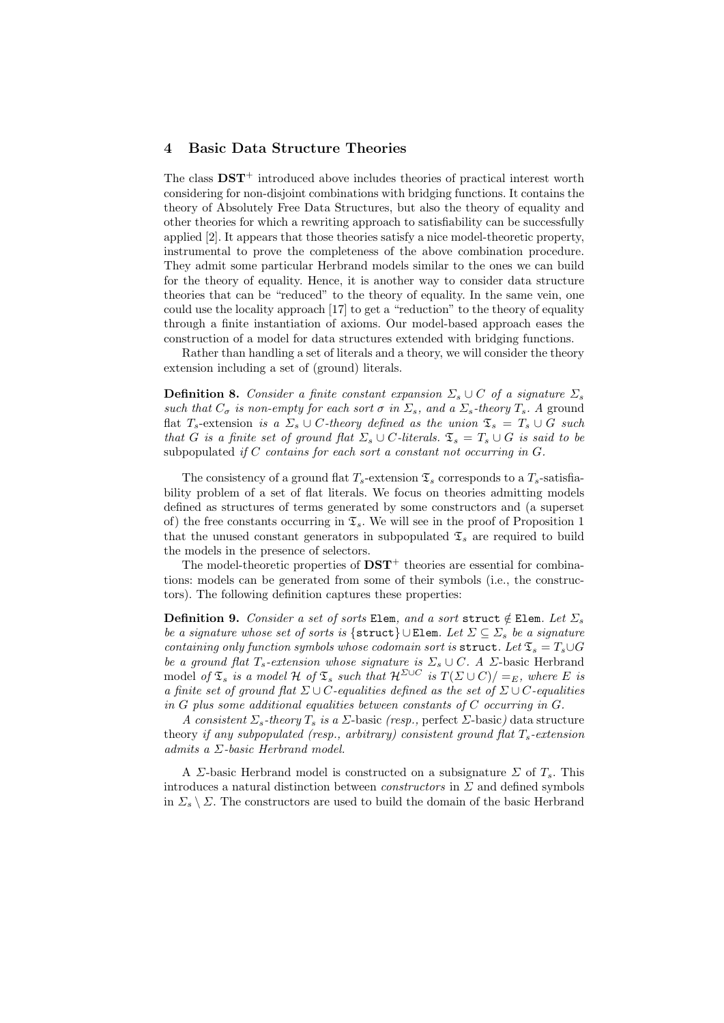## 4 Basic Data Structure Theories

The class  $\text{DST}^+$  introduced above includes theories of practical interest worth considering for non-disjoint combinations with bridging functions. It contains the theory of Absolutely Free Data Structures, but also the theory of equality and other theories for which a rewriting approach to satisfiability can be successfully applied [2]. It appears that those theories satisfy a nice model-theoretic property, instrumental to prove the completeness of the above combination procedure. They admit some particular Herbrand models similar to the ones we can build for the theory of equality. Hence, it is another way to consider data structure theories that can be "reduced" to the theory of equality. In the same vein, one could use the locality approach [17] to get a "reduction" to the theory of equality through a finite instantiation of axioms. Our model-based approach eases the construction of a model for data structures extended with bridging functions.

Rather than handling a set of literals and a theory, we will consider the theory extension including a set of (ground) literals.

**Definition 8.** Consider a finite constant expansion  $\Sigma_s \cup C$  of a signature  $\Sigma_s$ such that  $C_{\sigma}$  is non-empty for each sort  $\sigma$  in  $\Sigma_{s}$ , and a  $\Sigma_{s}$ -theory  $T_{s}$ . A ground flat  $T_s$ -extension is a  $\Sigma_s \cup C$ -theory defined as the union  $\mathfrak{T}_s = T_s \cup G$  such that G is a finite set of ground flat  $\Sigma_s \cup C$ -literals.  $\mathfrak{T}_s = T_s \cup G$  is said to be subpopulated if C contains for each sort a constant not occurring in  $G$ .

The consistency of a ground flat  $T_s$ -extension  $\mathfrak{T}_s$  corresponds to a  $T_s$ -satisfiability problem of a set of flat literals. We focus on theories admitting models defined as structures of terms generated by some constructors and (a superset of) the free constants occurring in  $\mathfrak{T}_s$ . We will see in the proof of Proposition 1 that the unused constant generators in subpopulated  $\mathfrak{T}_s$  are required to build the models in the presence of selectors.

The model-theoretic properties of  $\mathbf{DST}^+$  theories are essential for combinations: models can be generated from some of their symbols (i.e., the constructors). The following definition captures these properties:

**Definition 9.** Consider a set of sorts Elem, and a sort struct  $\notin$  Elem. Let  $\Sigma$ <sub>s</sub> be a signature whose set of sorts is {struct} ∪ Elem. Let  $\Sigma \subseteq \Sigma_s$  be a signature containing only function symbols whose codomain sort is struct. Let  $\mathfrak{T}_s = T_s \cup G$ be a ground flat  $T_s$ -extension whose signature is  $\Sigma_s \cup C$ . A  $\Sigma$ -basic Herbrand model of  $\mathfrak{T}_s$  is a model H of  $\mathfrak{T}_s$  such that  $\mathcal{H}^{\Sigma\cup C}$  is  $T(\Sigma\cup C)/=_E$ , where E is a finite set of ground flat  $\Sigma \cup C$ -equalities defined as the set of  $\Sigma \cup C$ -equalities in  $G$  plus some additional equalities between constants of  $C$  occurring in  $G$ .

A consistent  $\Sigma_s$ -theory  $T_s$  is a  $\Sigma$ -basic (resp., perfect  $\Sigma$ -basic) data structure theory if any subpopulated (resp., arbitrary) consistent ground flat  $T_s$ -extension admits a  $\Sigma$ -basic Herbrand model.

A *Σ*-basic Herbrand model is constructed on a subsignature  $\Sigma$  of  $T_s$ . This introduces a natural distinction between *constructors* in  $\Sigma$  and defined symbols in  $\Sigma_s \setminus \Sigma$ . The constructors are used to build the domain of the basic Herbrand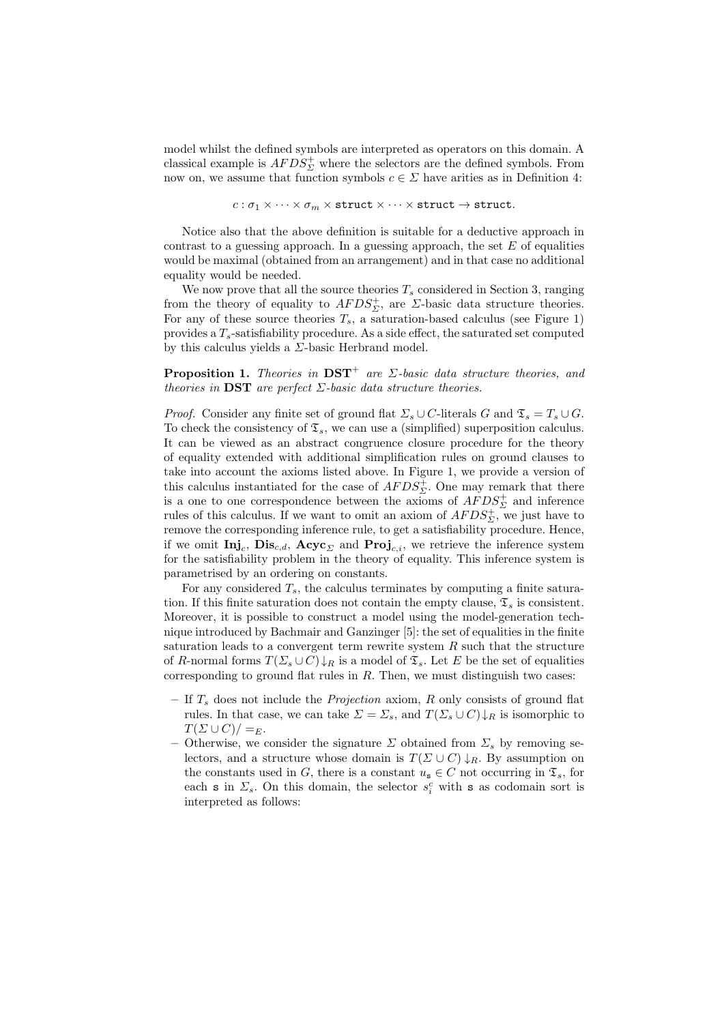model whilst the defined symbols are interpreted as operators on this domain. A classical example is  $AFDS^+_2$  where the selectors are the defined symbols. From now on, we assume that function symbols  $c \in \Sigma$  have arities as in Definition 4:

$$
c:\sigma_1\times\cdots\times\sigma_m\times\texttt{struct}\times\cdots\times\texttt{struct}\to\texttt{struct}.
$$

Notice also that the above definition is suitable for a deductive approach in contrast to a guessing approach. In a guessing approach, the set  $E$  of equalities would be maximal (obtained from an arrangement) and in that case no additional equality would be needed.

We now prove that all the source theories  $T_s$  considered in Section 3, ranging from the theory of equality to  $AFDS^+_S$ , are  $\Sigma$ -basic data structure theories. For any of these source theories  $T_s$ , a saturation-based calculus (see Figure 1) provides a  $T_s$ -satisfiability procedure. As a side effect, the saturated set computed by this calculus yields a  $\Sigma$ -basic Herbrand model.

**Proposition 1.** Theories in  $DST^+$  are  $\Sigma$ -basic data structure theories, and theories in DST are perfect  $\Sigma$ -basic data structure theories.

*Proof.* Consider any finite set of ground flat  $\Sigma_s \cup C$ -literals G and  $\mathfrak{T}_s = T_s \cup G$ . To check the consistency of  $\mathfrak{T}_s$ , we can use a (simplified) superposition calculus. It can be viewed as an abstract congruence closure procedure for the theory of equality extended with additional simplification rules on ground clauses to take into account the axioms listed above. In Figure 1, we provide a version of this calculus instantiated for the case of  $AFDS_{\Sigma}^{+}$ . One may remark that there is a one to one correspondence between the axioms of  $AFDS^+_2$  and inference rules of this calculus. If we want to omit an axiom of  $AFDS^+_{\Sigma}$ , we just have to remove the corresponding inference rule, to get a satisfiability procedure. Hence, if we omit  $\text{Inj}_c$ ,  $\text{Dis}_{c,d}$ ,  $\text{Acyc}_{\Sigma}$  and  $\text{Proj}_{c,i}$ , we retrieve the inference system for the satisfiability problem in the theory of equality. This inference system is parametrised by an ordering on constants.

For any considered  $T_s$ , the calculus terminates by computing a finite saturation. If this finite saturation does not contain the empty clause,  $\mathfrak{T}_s$  is consistent. Moreover, it is possible to construct a model using the model-generation technique introduced by Bachmair and Ganzinger [5]: the set of equalities in the finite saturation leads to a convergent term rewrite system  $R$  such that the structure of R-normal forms  $T(\Sigma_s\cup C)\downarrow_R$  is a model of  $\mathfrak{T}_s$ . Let E be the set of equalities corresponding to ground flat rules in  $R$ . Then, we must distinguish two cases:

- If  $T<sub>s</sub>$  does not include the *Projection* axiom,  $R$  only consists of ground flat rules. In that case, we can take  $\Sigma = \Sigma_s$ , and  $T(\Sigma_s \cup C) \downarrow_R$  is isomorphic to  $T(\Sigma \cup C)/=E$ .
- Otherwise, we consider the signature  $\Sigma$  obtained from  $\Sigma_s$  by removing selectors, and a structure whose domain is  $T(\Sigma \cup C) \downarrow_R$ . By assumption on the constants used in G, there is a constant  $u_s \in C$  not occurring in  $\mathfrak{T}_s$ , for each s in  $\Sigma_s$ . On this domain, the selector  $s_i^c$  with s as codomain sort is interpreted as follows: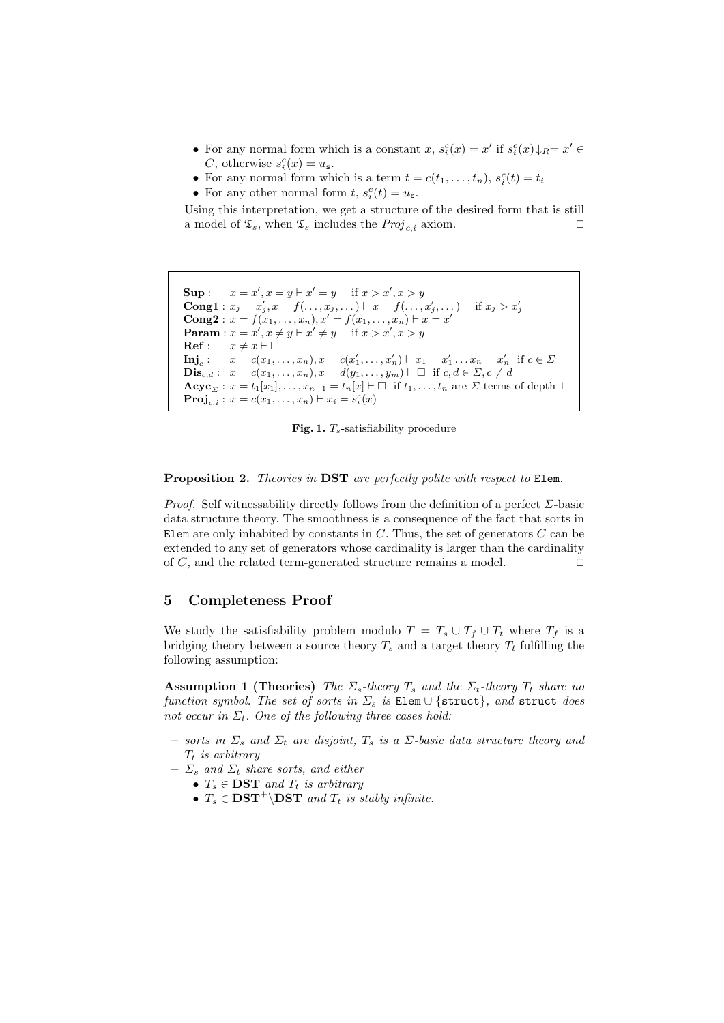- For any normal form which is a constant  $x, s_i^c(x) = x'$  if  $s_i^c(x) \downarrow_R = x' \in$ C, otherwise  $s_i^c(x) = u_s$ .
- For any normal form which is a term  $t = c(t_1, \ldots, t_n)$ ,  $s_i^c(t) = t_i$
- For any other normal form  $t$ ,  $s_i^c(t) = u_s$ .

Using this interpretation, we get a structure of the desired form that is still a model of  $\mathfrak{T}_s$ , when  $\mathfrak{T}_s$  includes the  $Proj_{c,i}$  axiom.

```
Sup: x = x', x = y \vdash x' = y if x > x', x > yCong1 : x_j = x'_j, x = f(\ldots, x_j, \ldots) \vdash x = f(\ldots, x'_j, \ldots) if x_j > x'_j<br>Cong2 : x = f(x_1, \ldots, x_n), x' = f(x_1, \ldots, x_n) \vdash x = x'Param: x = x', x \neq y \vdash x' \neq y if x > x', x > yRef : x \neq x \vdash \BoxInj<sub>c</sub>: x = c(x_1, ..., x_n), x = c(x'_1, ..., x'_n) \vdash x_1 = x'_1 ... x_n = x'_n if c \in \SigmaDis<sub>c,d</sub>: x = c(x_1, ..., x_n), x = d(y_1, ..., y_m) \vdash \Box if c, d \in \Sigma, c \neq d\mathbf{Acyc}_{\Sigma}: x = t_1[x_1], \ldots, x_{n-1} = t_n[x] \vdash \Box \text{ if } t_1, \ldots, t_n \text{ are } \Sigma\text{-terms of depth } 1\mathbf{Proj}_{c,i} : x = c(x_1, \ldots, x_n) \vdash x_i = s_i^c(x)
```
Fig. 1.  $T_s$ -satisfiability procedure

Proposition 2. Theories in DST are perfectly polite with respect to Elem.

*Proof.* Self witnessability directly follows from the definition of a perfect  $\Sigma$ -basic data structure theory. The smoothness is a consequence of the fact that sorts in Elem are only inhabited by constants in  $C$ . Thus, the set of generators  $C$  can be extended to any set of generators whose cardinality is larger than the cardinality of  $C$ , and the related term-generated structure remains a model.  $\square$ 

## 5 Completeness Proof

We study the satisfiability problem modulo  $T = T_s \cup T_f \cup T_t$  where  $T_f$  is a bridging theory between a source theory  $T_s$  and a target theory  $T_t$  fulfilling the following assumption:

**Assumption 1 (Theories)** The  $\Sigma_s$ -theory  $T_s$  and the  $\Sigma_t$ -theory  $T_t$  share no function symbol. The set of sorts in  $\Sigma_s$  is Elem  $\cup$  {struct}, and struct does not occur in  $\Sigma_t$ . One of the following three cases hold:

- sorts in  $\Sigma_s$  and  $\Sigma_t$  are disjoint,  $T_s$  is a  $\Sigma$ -basic data structure theory and  $T_t$  is arbitrary
- $\Sigma_s$  and  $\Sigma_t$  share sorts, and either
	- $T_s \in \mathbf{DST}$  and  $T_t$  is arbitrary
	- $T_s \in \mathbf{DST}^+ \backslash \mathbf{DST}$  and  $T_t$  is stably infinite.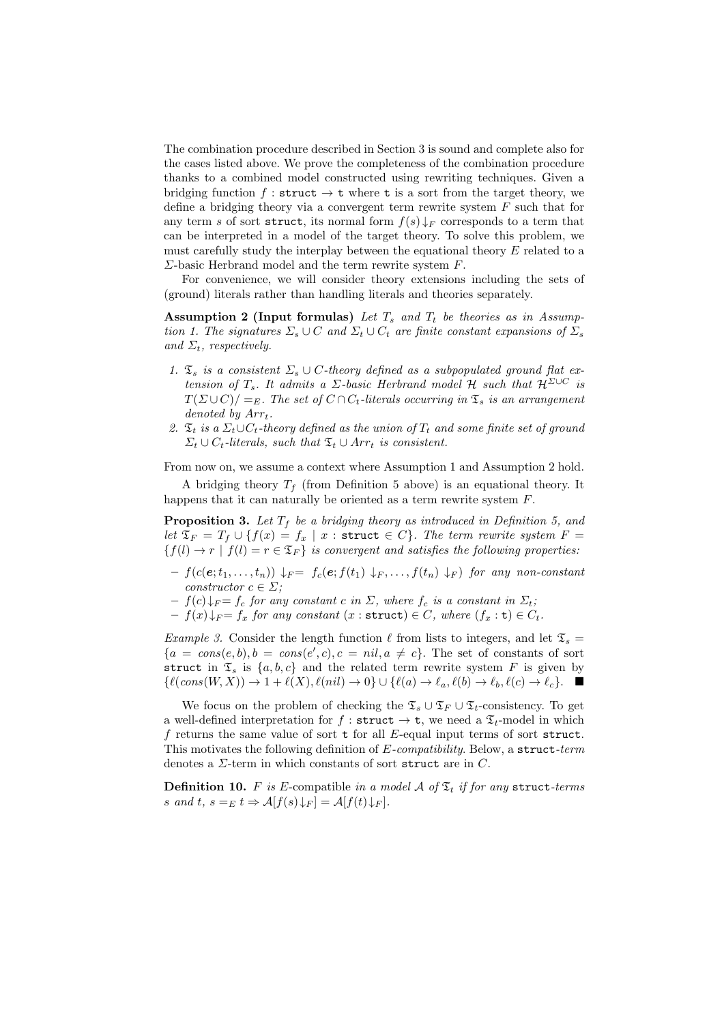The combination procedure described in Section 3 is sound and complete also for the cases listed above. We prove the completeness of the combination procedure thanks to a combined model constructed using rewriting techniques. Given a bridging function f: struct  $\rightarrow$  t where t is a sort from the target theory, we define a bridging theory via a convergent term rewrite system F such that for any term s of sort struct, its normal form  $f(s) \downarrow_F$  corresponds to a term that can be interpreted in a model of the target theory. To solve this problem, we must carefully study the interplay between the equational theory E related to a  $\Sigma$ -basic Herbrand model and the term rewrite system F.

For convenience, we will consider theory extensions including the sets of (ground) literals rather than handling literals and theories separately.

Assumption 2 (Input formulas) Let  $T_s$  and  $T_t$  be theories as in Assumption 1. The signatures  $\Sigma_s \cup C$  and  $\Sigma_t \cup C_t$  are finite constant expansions of  $\Sigma_s$ and  $\Sigma_t$ , respectively.

- 1.  $\mathfrak{T}_s$  is a consistent  $\Sigma_s \cup C$ -theory defined as a subpopulated ground flat extension of  $T_s$ . It admits a  $\Sigma$ -basic Herbrand model  ${\cal H}$  such that  ${\cal H}^{\Sigma\cup C}$  is  $T(\Sigma \cup C)/=E$ . The set of  $C \cap C_t$ -literals occurring in  $\mathfrak{T}_s$  is an arrangement denoted by  $Arr<sub>t</sub>$ .
- 2.  $\mathfrak{T}_t$  is a  $\Sigma_t \cup C_t$ -theory defined as the union of  $T_t$  and some finite set of ground  $\Sigma_t \cup C_t$ -literals, such that  $\mathfrak{T}_t \cup Arr_t$  is consistent.

From now on, we assume a context where Assumption 1 and Assumption 2 hold.

A bridging theory  $T_f$  (from Definition 5 above) is an equational theory. It happens that it can naturally be oriented as a term rewrite system F.

**Proposition 3.** Let  $T_f$  be a bridging theory as introduced in Definition 5, and let  $\mathfrak{T}_F = T_f \cup \{f(x) = f_x \mid x : \text{struct } \in C\}$ . The term rewrite system  $F =$  ${f(l) \to r | f(l) = r \in \mathfrak{T}_F}$  is convergent and satisfies the following properties:

- $f(c(e; t_1, \ldots, t_n)) \downarrow_F = f_c(e; f(t_1) \downarrow_F, \ldots, f(t_n) \downarrow_F)$  for any non-constant constructor  $c \in \Sigma$ ;
- $f(c) \downarrow_F = f_c$  for any constant c in  $\Sigma$ , where  $f_c$  is a constant in  $\Sigma_t$ ;
- $f(x) \downarrow_F = f_x$  for any constant  $(x : \text{struct}) \in C$ , where  $(f_x : \text{t}) \in C_t$ .

*Example 3.* Consider the length function  $\ell$  from lists to integers, and let  $\mathfrak{T}_s =$  ${a = cons(e, b), b = cons(e', c), c = nil, a \neq c}$ . The set of constants of sort struct in  $\mathfrak{T}_s$  is  $\{a, b, c\}$  and the related term rewrite system F is given by  $\{\ell(\text{cons}(W, X)) \to 1 + \ell(X), \ell(nil) \to 0\} \cup \{\ell(a) \to \ell_a, \ell(b) \to \ell_b, \ell(c) \to \ell_c\}.$ 

We focus on the problem of checking the  $\mathfrak{T}_s \cup \mathfrak{T}_F \cup \mathfrak{T}_t$ -consistency. To get a well-defined interpretation for  $f :$  struct  $\rightarrow$  t, we need a  $\mathfrak{T}_t$ -model in which f returns the same value of sort  $t$  for all E-equal input terms of sort struct. This motivates the following definition of  $E$ -compatibility. Below, a struct-term denotes a  $\Sigma$ -term in which constants of sort struct are in C.

**Definition 10.** F is E-compatible in a model A of  $\mathfrak{T}_t$  if for any struct-terms s and t,  $s =_E t \Rightarrow A[f(s) \downarrow_F] = A[f(t) \downarrow_F].$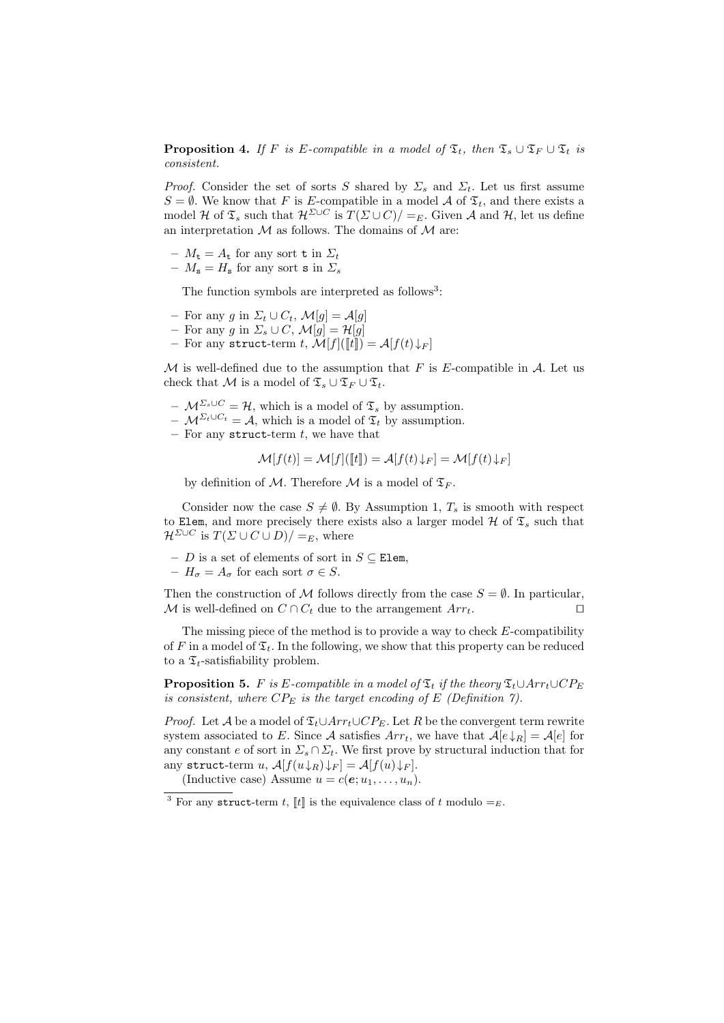**Proposition 4.** If F is E-compatible in a model of  $\mathfrak{T}_t$ , then  $\mathfrak{T}_s \cup \mathfrak{T}_F \cup \mathfrak{T}_t$  is consistent.

*Proof.* Consider the set of sorts S shared by  $\Sigma_s$  and  $\Sigma_t$ . Let us first assume  $S = \emptyset$ . We know that F is E-compatible in a model A of  $\mathfrak{T}_t$ , and there exists a model H of  $\mathfrak{T}_s$  such that  $\mathcal{H}^{\Sigma\cup C}$  is  $T(\Sigma\cup C)/=_E$ . Given A and H, let us define an interpretation  $M$  as follows. The domains of  $M$  are:

- $-M_{t} = A_{t}$  for any sort t in  $\Sigma_{t}$
- $M_{\rm s} = H_{\rm s}$  for any sort s in  $\Sigma_{s}$

The function symbols are interpreted as follows<sup>3</sup>:

- For any g in  $\Sigma_t \cup C_t$ ,  $\mathcal{M}[g] = \mathcal{A}[g]$
- For any g in  $\Sigma_s \cup C$ ,  $\mathcal{M}[g] = \mathcal{H}[g]$
- For any struct-term  $t$ ,  $\mathcal{M}[f](\llbracket t\rrbracket) = \mathcal{A}[f(t)\!\downarrow_F]$

M is well-defined due to the assumption that F is E-compatible in A. Let us check that M is a model of  $\mathfrak{T}_s \cup \mathfrak{T}_F \cup \mathfrak{T}_t$ .

- $\mathcal{M}^{\Sigma_s \cup C} = \mathcal{H}$ , which is a model of  $\mathfrak{T}_s$  by assumption.
- $M^{\Sigma_t \cup C_t} = A$ , which is a model of  $\mathfrak{T}_t$  by assumption.
- For any struct-term  $t$ , we have that

 $\mathcal{M}[f(t)] = \mathcal{M}[f]([\![t]\!]) = \mathcal{A}[f(t) \downarrow_F] = \mathcal{M}[f(t) \downarrow_F]$ 

by definition of M. Therefore M is a model of  $\mathfrak{T}_F$ .

Consider now the case  $S \neq \emptyset$ . By Assumption 1,  $T_s$  is smooth with respect to Elem, and more precisely there exists also a larger model  $H$  of  $\mathfrak{T}_s$  such that  $\mathcal{H}^{\Sigma\cup C}$  is  $T(\Sigma\cup C\cup D)/=E$ , where

- D is a set of elements of sort in S ⊆ Elem,
- $H_{\sigma} = A_{\sigma}$  for each sort  $\sigma \in S$ .

Then the construction of M follows directly from the case  $S = \emptyset$ . In particular, M is well-defined on  $C \cap C_t$  due to the arrangement  $Arr_t$ .

The missing piece of the method is to provide a way to check  $E$ -compatibility of F in a model of  $\mathfrak{T}_t$ . In the following, we show that this property can be reduced to a  $\mathfrak{T}_t$ -satisfiability problem.

**Proposition 5.** F is E-compatible in a model of  $\mathfrak{T}_t$  if the theory  $\mathfrak{T}_t \cup Arr_t \cup CP_E$ is consistent, where  $CP_E$  is the target encoding of E (Definition 7).

*Proof.* Let A be a model of  $\mathfrak{T}_t \cup Arr_t \cup CP_E$ . Let R be the convergent term rewrite system associated to E. Since A satisfies  $Arr<sub>t</sub>$ , we have that  $A[e\downarrow_R] = A[e]$  for any constant e of sort in  $\Sigma_s \cap \Sigma_t$ . We first prove by structural induction that for any struct-term  $u$ ,  $\mathcal{A}[f(u\downarrow_R)\downarrow_F] = \mathcal{A}[f(u)\downarrow_F].$ 

(Inductive case) Assume  $u = c(e; u_1, \ldots, u_n)$ .

<sup>&</sup>lt;sup>3</sup> For any struct-term t,  $\llbracket t \rrbracket$  is the equivalence class of t modulo  $=_E$ .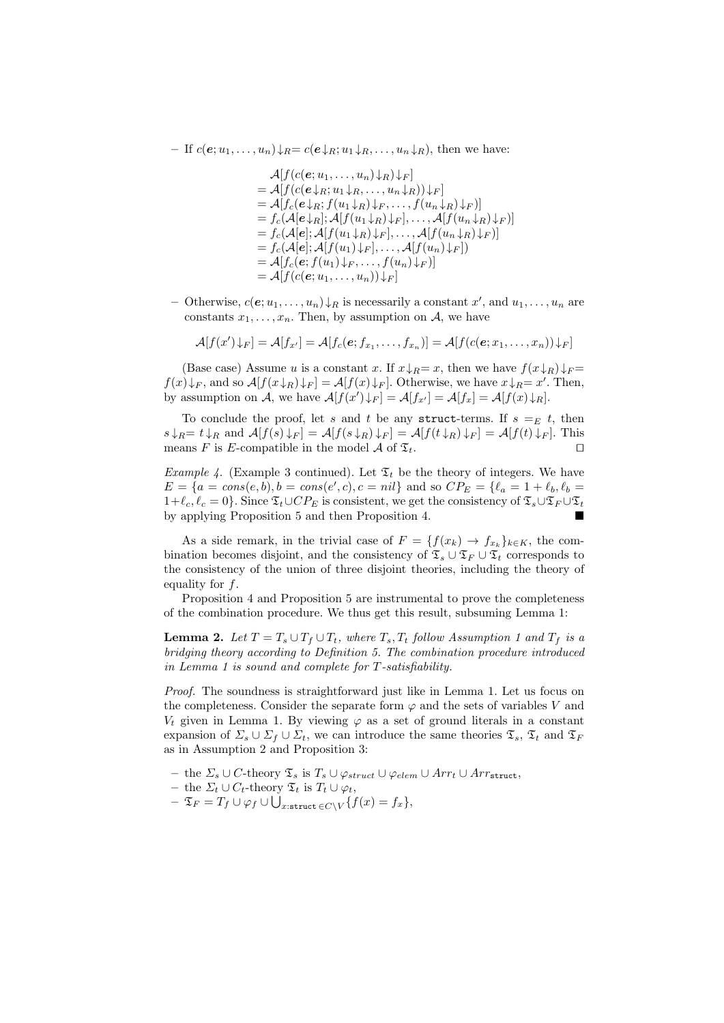– If  $c(e; u_1, \ldots, u_n) \downarrow_R = c(e \downarrow_R; u_1 \downarrow_R, \ldots, u_n \downarrow_R)$ , then we have:

 $\mathcal{A}[f(c(\mathbf{e};u_1,\ldots,u_n)\downarrow_R)\downarrow_F]$  $=\mathcal{A}[f(c(e\downarrow_R;u_1\downarrow_R,\ldots,u_n\downarrow_R))\downarrow_F]$  $=\mathcal{A}[f_c(e\downarrow_R; f(u_1\downarrow_R)\downarrow_F,\ldots,f(u_n\downarrow_R)\downarrow_F)]$  $= f_c(\mathcal{A}[e\downarrow_R]; \mathcal{A}[f(u_1\downarrow_R)\downarrow_F], \ldots, \mathcal{A}[f(u_n\downarrow_R)\downarrow_F)]$  $= f_c(\mathcal{A}[e]; \mathcal{A}[f(u_1 \downarrow_R) \downarrow_F], \dots, \mathcal{A}[f(u_n \downarrow_R) \downarrow_F)]$  $= f_c(\mathcal{A}[e]; \mathcal{A}[f(u_1)\downarrow_F], \ldots, \mathcal{A}[f(u_n)\downarrow_F])$  $=\mathcal{A}[f_c(\boldsymbol{e};f(u_1)\downarrow_F,\ldots,f(u_n)\downarrow_F)]$  $= \mathcal{A}[f(c(e; u_1, \ldots, u_n)) \downarrow_F]$ 

− Otherwise,  $c(e; u_1, \ldots, u_n) \downarrow_R$  is necessarily a constant  $x'$ , and  $u_1, \ldots, u_n$  are constants  $x_1, \ldots, x_n$ . Then, by assumption on A, we have

$$
\mathcal{A}[f(x')\downarrow_F] = \mathcal{A}[f_{x'}] = \mathcal{A}[f_c(e; f_{x_1}, \dots, f_{x_n})] = \mathcal{A}[f(c(e; x_1, \dots, x_n))\downarrow_F]
$$

(Base case) Assume u is a constant x. If  $x \downarrow_R = x$ , then we have  $f(x \downarrow_R) \downarrow_F =$  $f(x)\downarrow_F$ , and so  $\mathcal{A}[f(x\downarrow_R)\downarrow_F] = \mathcal{A}[f(x)\downarrow_F]$ . Otherwise, we have  $x\downarrow_R = x'$ . Then, by assumption on A, we have  $\mathcal{A}[f(x')\downarrow_F] = \mathcal{A}[f_{x'}] = \mathcal{A}[f_x] = \mathcal{A}[f(x)\downarrow_R].$ 

To conclude the proof, let s and t be any struct-terms. If  $s =_E t$ , then  $s \downarrow_R = t \downarrow_R$  and  $\mathcal{A}[f(s) \downarrow_F] = \mathcal{A}[f(s \downarrow_R) \downarrow_F] = \mathcal{A}[f(t \downarrow_R) \downarrow_F] = \mathcal{A}[f(t) \downarrow_F]$ . This means F is E-compatible in the model A of  $\mathfrak{T}_t$ .

*Example 4.* (Example 3 continued). Let  $\mathfrak{T}_t$  be the theory of integers. We have  $E = \{a = cons(e, b), b = cons(e', c), c = nil\}$  and so  $CP_E = \{\ell_a = 1 + \ell_b, \ell_b =$  $1+\ell_c, \ell_c = 0$ . Since  $\mathfrak{T}_t\cup CP_E$  is consistent, we get the consistency of  $\mathfrak{T}_s\cup\mathfrak{T}_F\cup\mathfrak{T}_t$ by applying Proposition 5 and then Proposition 4.

As a side remark, in the trivial case of  $F = \{f(x_k) \to f_{x_k}\}_{k \in K}$ , the combination becomes disjoint, and the consistency of  $\mathfrak{T}_s \cup \mathfrak{T}_F \cup \mathfrak{T}_t$  corresponds to the consistency of the union of three disjoint theories, including the theory of equality for  $f$ .

Proposition 4 and Proposition 5 are instrumental to prove the completeness of the combination procedure. We thus get this result, subsuming Lemma 1:

**Lemma 2.** Let  $T = T_s \cup T_f \cup T_t$ , where  $T_s$ ,  $T_t$  follow Assumption 1 and  $T_f$  is a bridging theory according to Definition 5. The combination procedure introduced in Lemma 1 is sound and complete for T-satisfiability.

Proof. The soundness is straightforward just like in Lemma 1. Let us focus on the completeness. Consider the separate form  $\varphi$  and the sets of variables V and  $V_t$  given in Lemma 1. By viewing  $\varphi$  as a set of ground literals in a constant expansion of  $\Sigma_s \cup \Sigma_f \cup \Sigma_t$ , we can introduce the same theories  $\mathfrak{T}_s$ ,  $\mathfrak{T}_t$  and  $\mathfrak{T}_F$ as in Assumption 2 and Proposition 3:

- the  $\Sigma_s \cup C$ -theory  $\mathfrak{T}_s$  is  $T_s \cup \varphi_{struct} \cup \varphi_{elem} \cup Arr_t \cup Arr_{struct}$ ,
- the  $\Sigma_t \cup C_t$ -theory  $\mathfrak{T}_t$  is  $T_t \cup \varphi_t$ ,
- $-\mathfrak{T}_F = T_f \cup \varphi_f \cup \bigcup_{x: \texttt{struct} \in C \setminus V} \{f(x) = f_x\},$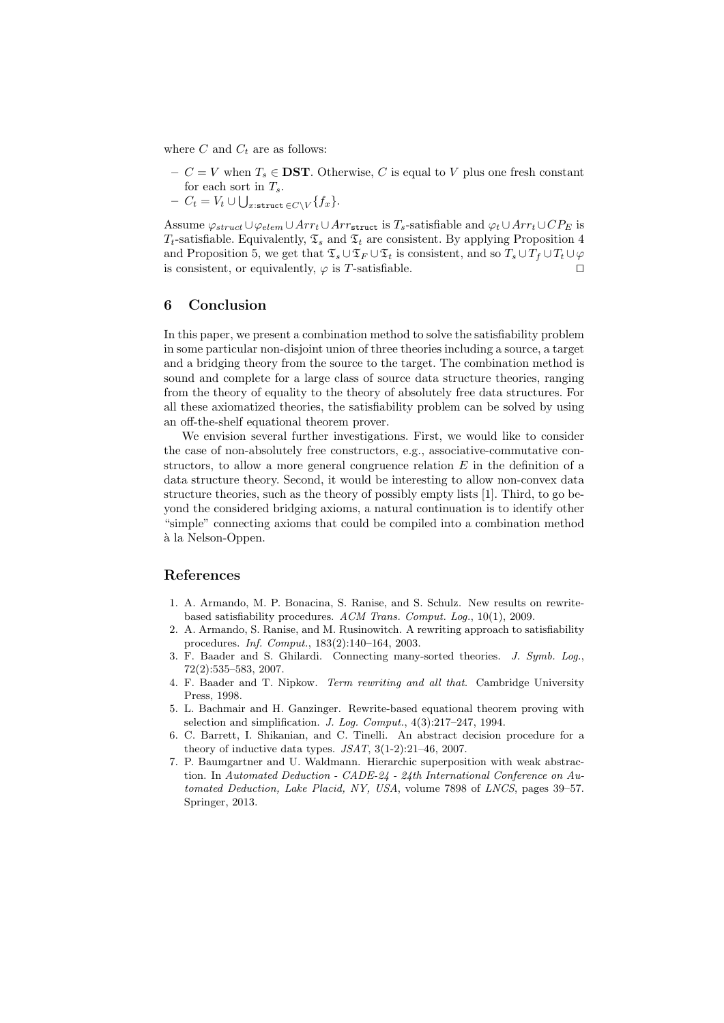where  $C$  and  $C_t$  are as follows:

- $C = V$  when  $T_s \in \mathbf{DST}$ . Otherwise, C is equal to V plus one fresh constant for each sort in  $T_s$ .
- $C_t = V_t \cup \bigcup_{x: \texttt{struct} \in C \setminus V} \{f_x\}.$

Assume  $\varphi_{struct} \cup \varphi_{elem} \cup Arr_t \cup Arr_{struct}$  is  $T_s$ -satisfiable and  $\varphi_t \cup Arr_t \cup CP_E$  is  $T_t$ -satisfiable. Equivalently,  $\mathfrak{T}_s$  and  $\mathfrak{T}_t$  are consistent. By applying Proposition 4 and Proposition 5, we get that  $\mathfrak{T}_s \cup \mathfrak{T}_f \cup \mathfrak{T}_t$  is consistent, and so  $T_s \cup T_f \cup T_t \cup \varphi$ is consistent, or equivalently,  $\varphi$  is T-satisfiable.

#### 6 Conclusion

In this paper, we present a combination method to solve the satisfiability problem in some particular non-disjoint union of three theories including a source, a target and a bridging theory from the source to the target. The combination method is sound and complete for a large class of source data structure theories, ranging from the theory of equality to the theory of absolutely free data structures. For all these axiomatized theories, the satisfiability problem can be solved by using an off-the-shelf equational theorem prover.

We envision several further investigations. First, we would like to consider the case of non-absolutely free constructors, e.g., associative-commutative constructors, to allow a more general congruence relation  $E$  in the definition of a data structure theory. Second, it would be interesting to allow non-convex data structure theories, such as the theory of possibly empty lists [1]. Third, to go beyond the considered bridging axioms, a natural continuation is to identify other "simple" connecting axioms that could be compiled into a combination method à la Nelson-Oppen.

#### References

- 1. A. Armando, M. P. Bonacina, S. Ranise, and S. Schulz. New results on rewritebased satisfiability procedures. ACM Trans. Comput. Log., 10(1), 2009.
- 2. A. Armando, S. Ranise, and M. Rusinowitch. A rewriting approach to satisfiability procedures. Inf. Comput., 183(2):140–164, 2003.
- 3. F. Baader and S. Ghilardi. Connecting many-sorted theories. J. Symb. Log., 72(2):535–583, 2007.
- 4. F. Baader and T. Nipkow. Term rewriting and all that. Cambridge University Press, 1998.
- 5. L. Bachmair and H. Ganzinger. Rewrite-based equational theorem proving with selection and simplification. J. Log. Comput., 4(3):217–247, 1994.
- 6. C. Barrett, I. Shikanian, and C. Tinelli. An abstract decision procedure for a theory of inductive data types. JSAT, 3(1-2):21–46, 2007.
- 7. P. Baumgartner and U. Waldmann. Hierarchic superposition with weak abstraction. In Automated Deduction - CADE-24 - 24th International Conference on Automated Deduction, Lake Placid, NY, USA, volume 7898 of LNCS, pages 39–57. Springer, 2013.